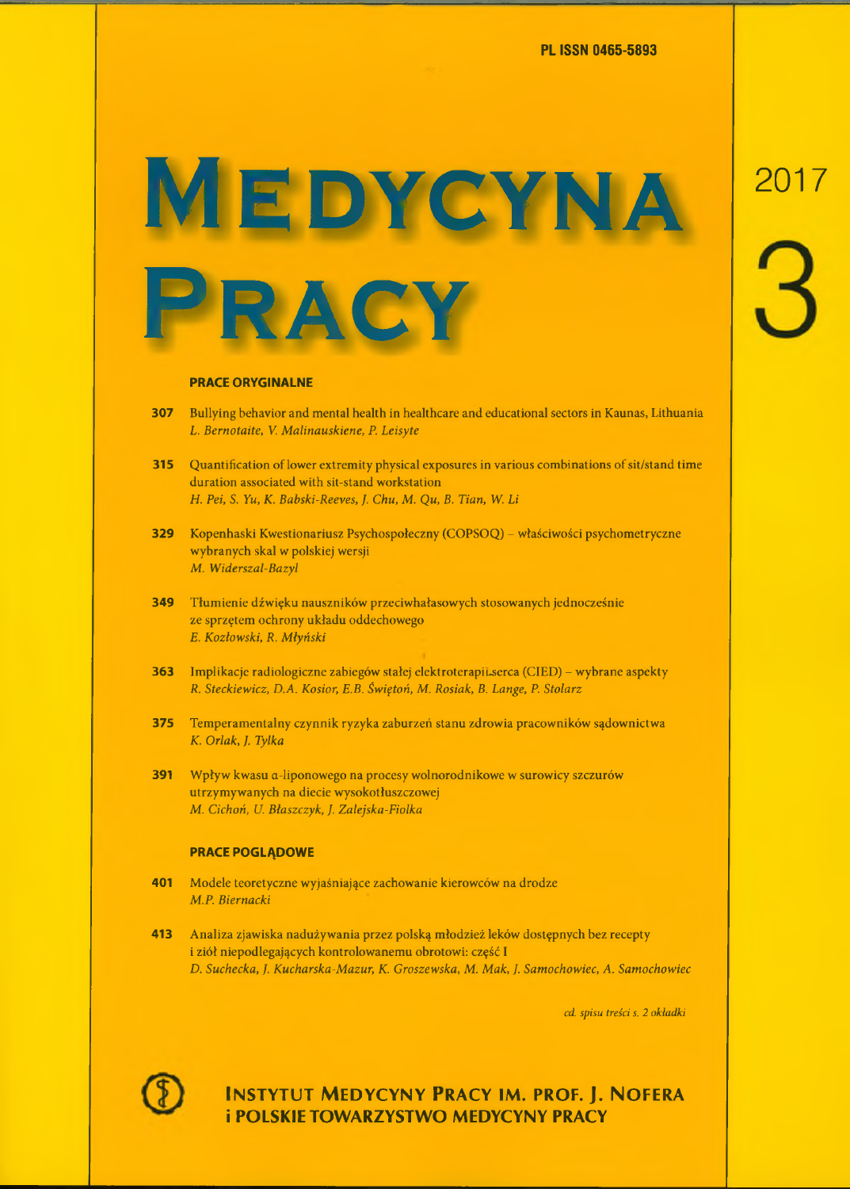PL ISSN 0465-5893

## **MEDYCYNA**



#### **PRACE ORYGINALNE**

- **307** Bullying behavior and mental health in healthcare and educational sectors in Kaunas, Lithuania *L. Bernotaite, V. Malitiauskiene, P. Leisyte*
- **315** Quantification of lower extremity physical exposures in various combinations of sit/stand time duration associated with sit-stand Workstation *H. Pei, S. Yu, K. Babski-Reeves, J. Chu, M. Qu, B. Tian, W. Li*
- **329** Kopenhaski Kwestionariusz Psychospołeczny (COPSOQ) właściwości psychometryczne wybranych skal w polskiej wersji *M. Widerszal-Bazyl*
- **349** Tłumienie dźwięku nauszników przeciwhałasowych stosowanych jednocześnie ze sprzętem ochrony układu oddechowego *E. Kozłowski, R. Młyński*
- **363** Implikacje radiologiczne zabiegów stałej elektroterapiuserca (CIED) wybrane aspekty *R. Steckiewicz, D.A. Kosior, E.B. Świętoń, M. Rosiak, B. Lange, P. Stolarz*
- **375** Temperamentalny czynnik ryzyka zaburzeń stanu zdrowia pracowników sądownictwa *K. Orlak, ]. Tylka*
- **391** Wpływ kwasu a-liponowego na procesy wolnorodnikowe w surowicy szczurów utrzymywanych na diecie wysokotłuszczowej *M. Cichoń, U. Błaszczyk,* /. *Zalejska-Fiolka*

#### **PRACE POGLĄDOWE**

- **401** Modele teoretyczne wyjaśniające zachowanie kierowców na drodze *M.P. Biernacki*
- **413** Analiza zjawiska nadużywania przez polską młodzież leków dostępnych bez recepty i ziół niepodlegających kontrolowanemu obrotowi: część 1 *D. Suchecka, J. Kucharska-Mazur, K. Groszewska, M. Mak, ]. Samochowiec, A. Samochowiec*

*cd. spisu treści s. 2 okładki*



**INSTYTUT MEDYCYNY PRACY IM. PROF. J. NOFERA i POLSKIE TOWARZYSTWO MEDYCYNY PRACY**

# 2017